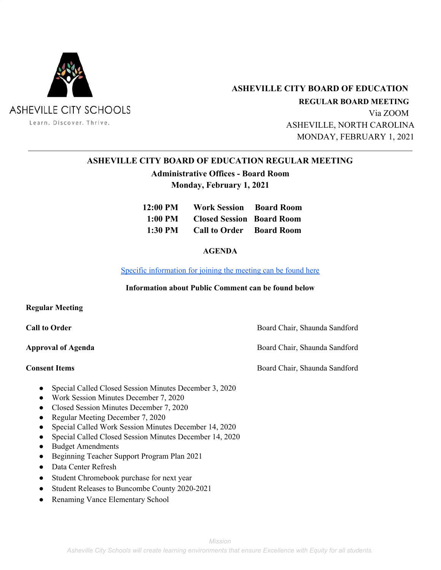

 **ASHEVILLE CITY BOARD OF EDUCATION**

 **REGULAR BOARD MEETING** Via ZOOM ASHEVILLE, NORTH CAROLINA MONDAY, FEBRUARY 1, 2021

# **ASHEVILLE CITY BOARD OF EDUCATION REGULAR MEETING**

# **Administrative Offices - Board Room Monday, February 1, 2021**

| 12:00 PM | <b>Work Session Board Room</b>    |  |
|----------|-----------------------------------|--|
|          | 1:00 PM Closed Session Board Room |  |
|          | 1:30 PM Call to Order Board Room  |  |

# **AGENDA**

Specific [information](https://docs.google.com/document/d/1Fcb7YuZPqzV6d9BMScM5tWJdxqkzOm7-89qBnLE01Cc/edit?usp=sharing) for joining the meeting can be found here

### **Information about Public Comment can be found below**

### **Regular Meeting**

**Call to Order** Board Chair, Shaunda Sandford

**Approval of Agenda** Board Chair, Shaunda Sandford

**Consent Items** Board Chair, Shaunda Sandford

- Special Called Closed Session Minutes December 3, 2020
- Work Session Minutes December 7, 2020
- Closed Session Minutes December 7, 2020
- Regular Meeting December 7, 2020
- Special Called Work Session Minutes December 14, 2020
- Special Called Closed Session Minutes December 14, 2020
- Budget Amendments
- Beginning Teacher Support Program Plan 2021
- Data Center Refresh
- Student Chromebook purchase for next year
- Student Releases to Buncombe County 2020-2021
- Renaming Vance Elementary School